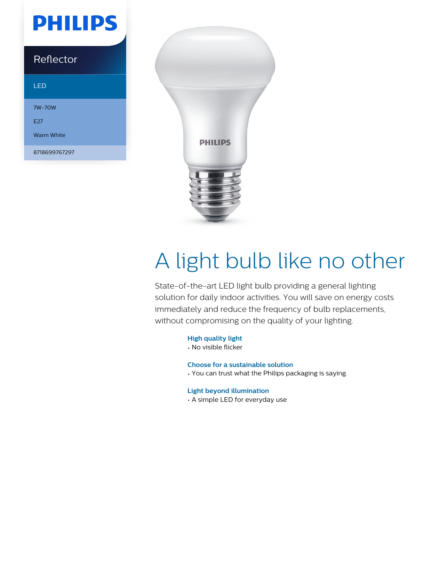# **PHILIPS**

### Reflector

#### LED

7W-70W E<sub>27</sub> Warm White

8718699767297



# A light bulb like no other

State-of-the-art LED light bulb providing a general lighting solution for daily indoor activities. You will save on energy costs immediately and reduce the frequency of bulb replacements, without compromising on the quality of your lighting.

#### **High quality light**

• No visible flicker

#### **Choose for a sustainable solution**

• You can trust what the Philips packaging is saying.

#### **Light beyond illumination**

• A simple LED for everyday use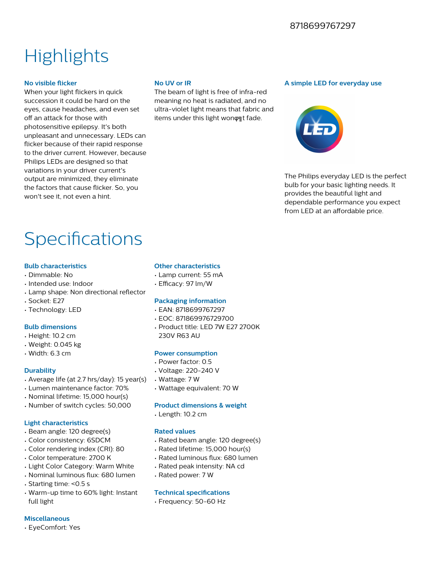### **Highlights**

#### **No visible flicker**

When your light flickers in quick succession it could be hard on the eyes, cause headaches, and even set off an attack for those with photosensitive epilepsy. It's both unpleasant and unnecessary. LEDs can flicker because of their rapid response to the driver current. However, because Philips LEDs are designed so that variations in your driver current's output are minimized, they eliminate the factors that cause flicker. So, you won't see it, not even a hint.

#### **No UV or IR**

The beam of light is free of infra-red meaning no heat is radiated, and no ultra-violet light means that fabric and items under this light wonφηt fade.

#### **A simple LED for everyday use**



The Philips everyday LED is the perfect bulb for your basic lighting needs. It provides the beautiful light and dependable performance you expect from LED at an affordable price.

## Specifications

#### **Bulb characteristics**

- Dimmable: No
- Intended use: Indoor
- Lamp shape: Non directional reflector
- Socket: E27
- Technology: LED

#### **Bulb dimensions**

- Height: 10.2 cm
- Weight: 0.045 kg
- Width: 6.3 cm

#### **Durability**

- Average life (at 2.7 hrs/day): 15 year(s)
- Lumen maintenance factor: 70%
- Nominal lifetime: 15,000 hour(s)
- Number of switch cycles: 50,000

#### **Light characteristics**

- Beam angle: 120 degree(s)
- Color consistency: 6SDCM
- Color rendering index (CRI): 80
- Color temperature: 2700 K
- Light Color Category: Warm White
- Nominal luminous flux: 680 lumen
- Starting time: <0.5 s
- Warm-up time to 60% light: Instant full light

#### **Miscellaneous**

• EyeComfort: Yes

#### **Other characteristics**

- Lamp current: 55 mA
- Efficacy: 97 lm/W

#### **Packaging information**

- EAN: 8718699767297
- EOC: 871869976729700
- Product title: LED 7W E27 2700K 230V R63 AU

#### **Power consumption**

- Power factor: 0.5
- Voltage: 220-240 V
- Wattage: 7 W
- Wattage equivalent: 70 W

#### **Product dimensions & weight**

• Length: 10.2 cm

#### **Rated values**

- Rated beam angle: 120 degree(s)
- Rated lifetime: 15,000 hour(s)
- Rated luminous flux: 680 lumen
- Rated peak intensity: NA cd
- Rated power: 7 W

#### **Technical specifications**

• Frequency: 50-60 Hz